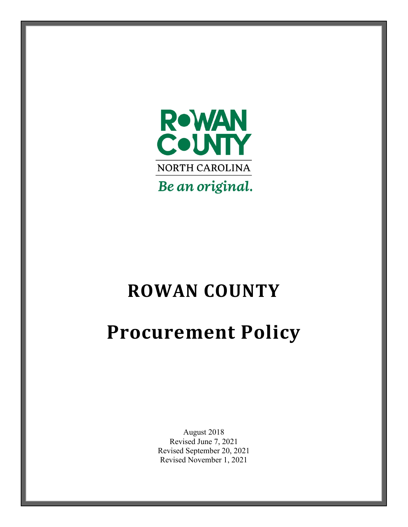

# **ROWAN COUNTY**

# **Procurement Policy**

August 2018 Revised June 7, 2021 Revised September 20, 2021 Revised November 1, 2021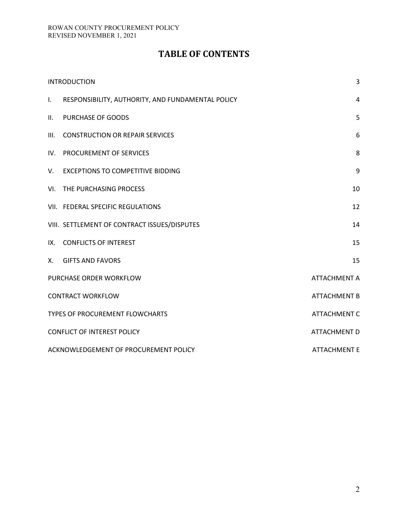# **TABLE OF CONTENTS**

| <b>INTRODUCTION</b>                    |                                                   | 3                   |
|----------------------------------------|---------------------------------------------------|---------------------|
| $\mathbf{L}$                           | RESPONSIBILITY, AUTHORITY, AND FUNDAMENTAL POLICY | 4                   |
| П.                                     | PURCHASE OF GOODS                                 | 5                   |
| III.                                   | <b>CONSTRUCTION OR REPAIR SERVICES</b>            | 6                   |
|                                        | IV. PROCUREMENT OF SERVICES                       | 8                   |
| V.                                     | <b>EXCEPTIONS TO COMPETITIVE BIDDING</b>          | 9                   |
|                                        | VI. THE PURCHASING PROCESS                        | 10                  |
|                                        | VII. FEDERAL SPECIFIC REGULATIONS                 | 12                  |
|                                        | VIII. SETTLEMENT OF CONTRACT ISSUES/DISPUTES      | 14                  |
|                                        | IX. CONFLICTS OF INTEREST                         | 15                  |
|                                        | X. GIFTS AND FAVORS                               | 15                  |
| PURCHASE ORDER WORKFLOW                |                                                   | <b>ATTACHMENT A</b> |
| <b>CONTRACT WORKFLOW</b>               |                                                   | <b>ATTACHMENT B</b> |
| <b>TYPES OF PROCUREMENT FLOWCHARTS</b> |                                                   | <b>ATTACHMENT C</b> |
| <b>CONFLICT OF INTEREST POLICY</b>     |                                                   | <b>ATTACHMENT D</b> |
| ACKNOWLEDGEMENT OF PROCUREMENT POLICY  |                                                   | <b>ATTACHMENT E</b> |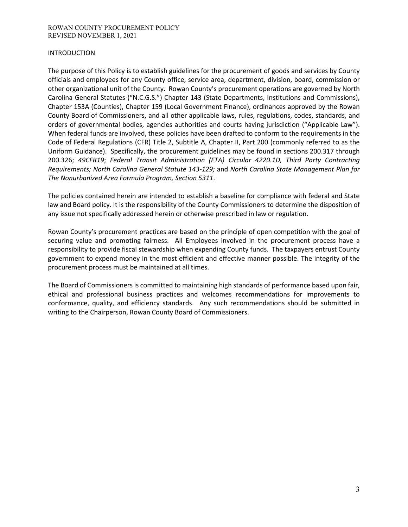#### ROWAN COUNTY PROCUREMENT POLICY REVISED NOVEMBER 1, 2021

#### INTRODUCTION

The purpose of this Policy is to establish guidelines for the procurement of goods and services by County officials and employees for any County office, service area, department, division, board, commission or other organizational unit of the County. Rowan County's procurement operations are governed by North Carolina General Statutes ("N.C.G.S.") Chapter 143 (State Departments, Institutions and Commissions), Chapter 153A (Counties), Chapter 159 (Local Government Finance), ordinances approved by the Rowan County Board of Commissioners, and all other applicable laws, rules, regulations, codes, standards, and orders of governmental bodies, agencies authorities and courts having jurisdiction ("Applicable Law"). When federal funds are involved, these policies have been drafted to conform to the requirements in the Code of Federal Regulations (CFR) Title 2, Subtitle A, Chapter II, Part 200 (commonly referred to as the Uniform Guidance). Specifically, the procurement guidelines may be found in sections 200.317 through 200.326; *49CFR19*; *Federal Transit Administration (FTA) Circular 4220.1D, Third Party Contracting Requirements; North Carolina General Statute 143-129;* and *North Carolina State Management Plan for The Nonurbanized Area Formula Program, Section 5311*.

The policies contained herein are intended to establish a baseline for compliance with federal and State law and Board policy. It is the responsibility of the County Commissioners to determine the disposition of any issue not specifically addressed herein or otherwise prescribed in law or regulation.

Rowan County's procurement practices are based on the principle of open competition with the goal of securing value and promoting fairness. All Employees involved in the procurement process have a responsibility to provide fiscal stewardship when expending County funds. The taxpayers entrust County government to expend money in the most efficient and effective manner possible. The integrity of the procurement process must be maintained at all times.

The Board of Commissioners is committed to maintaining high standards of performance based upon fair, ethical and professional business practices and welcomes recommendations for improvements to conformance, quality, and efficiency standards. Any such recommendations should be submitted in writing to the Chairperson, Rowan County Board of Commissioners.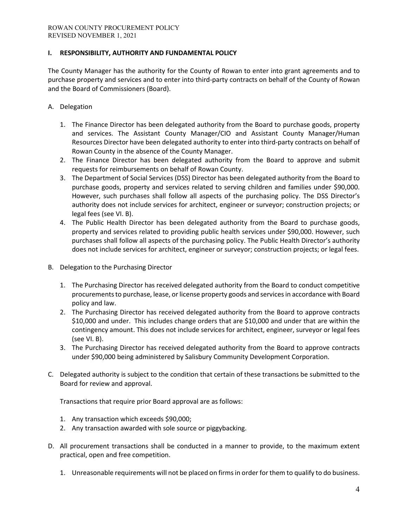## **I. RESPONSIBILITY, AUTHORITY AND FUNDAMENTAL POLICY**

The County Manager has the authority for the County of Rowan to enter into grant agreements and to purchase property and services and to enter into third-party contracts on behalf of the County of Rowan and the Board of Commissioners (Board).

- A. Delegation
	- 1. The Finance Director has been delegated authority from the Board to purchase goods, property and services. The Assistant County Manager/CIO and Assistant County Manager/Human Resources Director have been delegated authority to enter into third-party contracts on behalf of Rowan County in the absence of the County Manager.
	- 2. The Finance Director has been delegated authority from the Board to approve and submit requests for reimbursements on behalf of Rowan County.
	- 3. The Department of Social Services (DSS) Director has been delegated authority from the Board to purchase goods, property and services related to serving children and families under \$90,000. However, such purchases shall follow all aspects of the purchasing policy. The DSS Director's authority does not include services for architect, engineer or surveyor; construction projects; or legal fees (see VI. B).
	- 4. The Public Health Director has been delegated authority from the Board to purchase goods, property and services related to providing public health services under \$90,000. However, such purchases shall follow all aspects of the purchasing policy. The Public Health Director's authority does not include services for architect, engineer or surveyor; construction projects; or legal fees.
- B. Delegation to the Purchasing Director
	- 1. The Purchasing Director has received delegated authority from the Board to conduct competitive procurements to purchase, lease, or license property goods and services in accordance with Board policy and law.
	- 2. The Purchasing Director has received delegated authority from the Board to approve contracts \$10,000 and under. This includes change orders that are \$10,000 and under that are within the contingency amount. This does not include services for architect, engineer, surveyor or legal fees (see VI. B).
	- 3. The Purchasing Director has received delegated authority from the Board to approve contracts under \$90,000 being administered by Salisbury Community Development Corporation.
- C. Delegated authority is subject to the condition that certain of these transactions be submitted to the Board for review and approval.

Transactions that require prior Board approval are as follows:

- 1. Any transaction which exceeds \$90,000;
- 2. Any transaction awarded with sole source or piggybacking.
- D. All procurement transactions shall be conducted in a manner to provide, to the maximum extent practical, open and free competition.
	- 1. Unreasonable requirements will not be placed on firms in order for them to qualify to do business.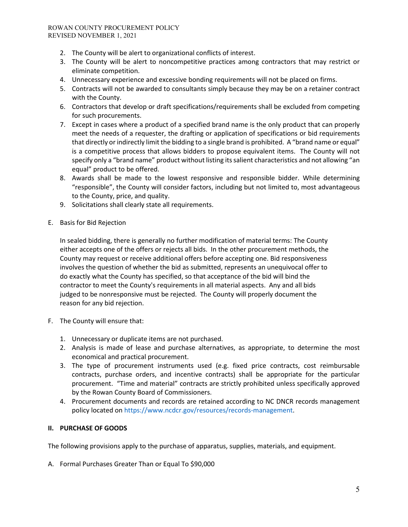#### ROWAN COUNTY PROCUREMENT POLICY REVISED NOVEMBER 1, 2021

- 2. The County will be alert to organizational conflicts of interest.
- 3. The County will be alert to noncompetitive practices among contractors that may restrict or eliminate competition.
- 4. Unnecessary experience and excessive bonding requirements will not be placed on firms.
- 5. Contracts will not be awarded to consultants simply because they may be on a retainer contract with the County.
- 6. Contractors that develop or draft specifications/requirements shall be excluded from competing for such procurements.
- 7. Except in cases where a product of a specified brand name is the only product that can properly meet the needs of a requester, the drafting or application of specifications or bid requirements that directly or indirectly limit the bidding to a single brand is prohibited. A "brand name or equal" is a competitive process that allows bidders to propose equivalent items. The County will not specify only a "brand name" product without listing its salient characteristics and not allowing "an equal" product to be offered.
- 8. Awards shall be made to the lowest responsive and responsible bidder. While determining "responsible", the County will consider factors, including but not limited to, most advantageous to the County, price, and quality.
- 9. Solicitations shall clearly state all requirements.
- E. Basis for Bid Rejection

In sealed bidding, there is generally no further modification of material terms: The County either accepts one of the offers or rejects all bids. In the other procurement methods, the County may request or receive additional offers before accepting one. Bid responsiveness involves the question of whether the bid as submitted, represents an unequivocal offer to do exactly what the County has specified, so that acceptance of the bid will bind the contractor to meet the County's requirements in all material aspects. Any and all bids judged to be nonresponsive must be rejected. The County will properly document the reason for any bid rejection.

- F. The County will ensure that:
	- 1. Unnecessary or duplicate items are not purchased.
	- 2. Analysis is made of lease and purchase alternatives, as appropriate, to determine the most economical and practical procurement.
	- 3. The type of procurement instruments used (e.g. fixed price contracts, cost reimbursable contracts, purchase orders, and incentive contracts) shall be appropriate for the particular procurement. "Time and material" contracts are strictly prohibited unless specifically approved by the Rowan County Board of Commissioners.
	- 4. Procurement documents and records are retained according to NC DNCR records management policy located o[n https://www.ncdcr.gov/resources/records-management.](https://www.ncdcr.gov/resources/records-management)

# **II. PURCHASE OF GOODS**

The following provisions apply to the purchase of apparatus, supplies, materials, and equipment.

A. Formal Purchases Greater Than or Equal To \$90,000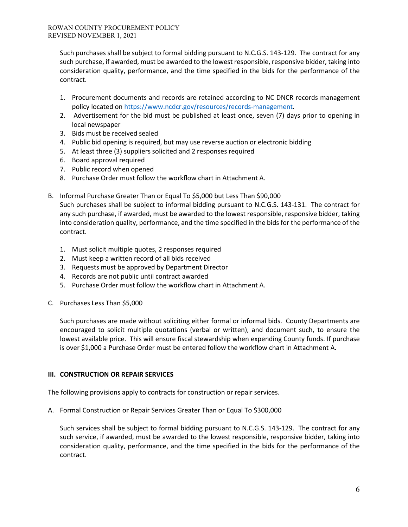Such purchases shall be subject to formal bidding pursuant to N.C.G.S. 143-129. The contract for any such purchase, if awarded, must be awarded to the lowest responsible, responsive bidder, taking into consideration quality, performance, and the time specified in the bids for the performance of the contract.

- 1. Procurement documents and records are retained according to NC DNCR records management policy located o[n https://www.ncdcr.gov/resources/records-management.](https://www.ncdcr.gov/resources/records-management)
- 2. Advertisement for the bid must be published at least once, seven (7) days prior to opening in local newspaper
- 3. Bids must be received sealed
- 4. Public bid opening is required, but may use reverse auction or electronic bidding
- 5. At least three (3) suppliers solicited and 2 responses required
- 6. Board approval required
- 7. Public record when opened
- 8. Purchase Order must follow the workflow chart in Attachment A.
- B. Informal Purchase Greater Than or Equal To \$5,000 but Less Than \$90,000

Such purchases shall be subject to informal bidding pursuant to N.C.G.S. 143-131. The contract for any such purchase, if awarded, must be awarded to the lowest responsible, responsive bidder, taking into consideration quality, performance, and the time specified in the bids for the performance of the contract.

- 1. Must solicit multiple quotes, 2 responses required
- 2. Must keep a written record of all bids received
- 3. Requests must be approved by Department Director
- 4. Records are not public until contract awarded
- 5. Purchase Order must follow the workflow chart in Attachment A.
- C. Purchases Less Than \$5,000

Such purchases are made without soliciting either formal or informal bids. County Departments are encouraged to solicit multiple quotations (verbal or written), and document such, to ensure the lowest available price. This will ensure fiscal stewardship when expending County funds. If purchase is over \$1,000 a Purchase Order must be entered follow the workflow chart in Attachment A.

### **III. CONSTRUCTION OR REPAIR SERVICES**

The following provisions apply to contracts for construction or repair services.

A. Formal Construction or Repair Services Greater Than or Equal To \$300,000

Such services shall be subject to formal bidding pursuant to N.C.G.S. 143-129. The contract for any such service, if awarded, must be awarded to the lowest responsible, responsive bidder, taking into consideration quality, performance, and the time specified in the bids for the performance of the contract.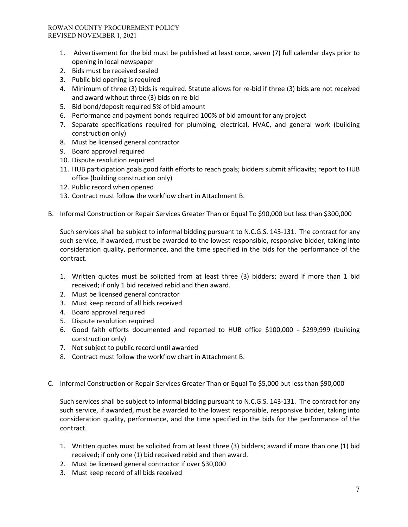- 1. Advertisement for the bid must be published at least once, seven (7) full calendar days prior to opening in local newspaper
- 2. Bids must be received sealed
- 3. Public bid opening is required
- 4. Minimum of three (3) bids is required. Statute allows for re-bid if three (3) bids are not received and award without three (3) bids on re-bid
- 5. Bid bond/deposit required 5% of bid amount
- 6. Performance and payment bonds required 100% of bid amount for any project
- 7. Separate specifications required for plumbing, electrical, HVAC, and general work (building construction only)
- 8. Must be licensed general contractor
- 9. Board approval required
- 10. Dispute resolution required
- 11. HUB participation goals good faith efforts to reach goals; bidders submit affidavits; report to HUB office (building construction only)
- 12. Public record when opened
- 13. Contract must follow the workflow chart in Attachment B.
- B. Informal Construction or Repair Services Greater Than or Equal To \$90,000 but less than \$300,000

Such services shall be subject to informal bidding pursuant to N.C.G.S. 143-131. The contract for any such service, if awarded, must be awarded to the lowest responsible, responsive bidder, taking into consideration quality, performance, and the time specified in the bids for the performance of the contract.

- 1. Written quotes must be solicited from at least three (3) bidders; award if more than 1 bid received; if only 1 bid received rebid and then award.
- 2. Must be licensed general contractor
- 3. Must keep record of all bids received
- 4. Board approval required
- 5. Dispute resolution required
- 6. Good faith efforts documented and reported to HUB office \$100,000 \$299,999 (building construction only)
- 7. Not subject to public record until awarded
- 8. Contract must follow the workflow chart in Attachment B.
- C. Informal Construction or Repair Services Greater Than or Equal To \$5,000 but less than \$90,000

Such services shall be subject to informal bidding pursuant to N.C.G.S. 143-131. The contract for any such service, if awarded, must be awarded to the lowest responsible, responsive bidder, taking into consideration quality, performance, and the time specified in the bids for the performance of the contract.

- 1. Written quotes must be solicited from at least three (3) bidders; award if more than one (1) bid received; if only one (1) bid received rebid and then award.
- 2. Must be licensed general contractor if over \$30,000
- 3. Must keep record of all bids received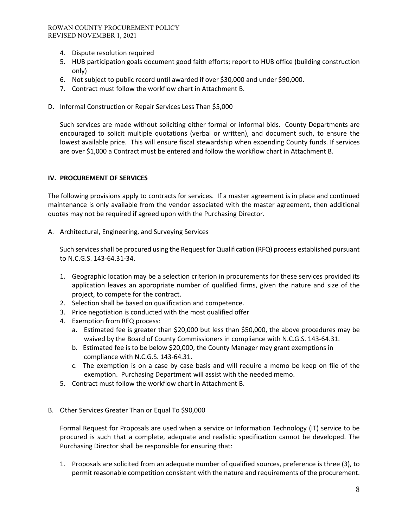- 4. Dispute resolution required
- 5. HUB participation goals document good faith efforts; report to HUB office (building construction only)
- 6. Not subject to public record until awarded if over \$30,000 and under \$90,000.
- 7. Contract must follow the workflow chart in Attachment B.
- D. Informal Construction or Repair Services Less Than \$5,000

Such services are made without soliciting either formal or informal bids. County Departments are encouraged to solicit multiple quotations (verbal or written), and document such, to ensure the lowest available price. This will ensure fiscal stewardship when expending County funds. If services are over \$1,000 a Contract must be entered and follow the workflow chart in Attachment B.

### **IV. PROCUREMENT OF SERVICES**

The following provisions apply to contracts for services. If a master agreement is in place and continued maintenance is only available from the vendor associated with the master agreement, then additional quotes may not be required if agreed upon with the Purchasing Director.

A. Architectural, Engineering, and Surveying Services

Such services shall be procured using the Request for Qualification (RFQ) process established pursuant to N.C.G.S. 143-64.31-34.

- 1. Geographic location may be a selection criterion in procurements for these services provided its application leaves an appropriate number of qualified firms, given the nature and size of the project, to compete for the contract.
- 2. Selection shall be based on qualification and competence.
- 3. Price negotiation is conducted with the most qualified offer
- 4. Exemption from RFQ process:
	- a. Estimated fee is greater than \$20,000 but less than \$50,000, the above procedures may be waived by the Board of County Commissioners in compliance with N.C.G.S. 143-64.31.
	- b. Estimated fee is to be below \$20,000, the County Manager may grant exemptions in compliance with N.C.G.S. 143-64.31.
	- c. The exemption is on a case by case basis and will require a memo be keep on file of the exemption. Purchasing Department will assist with the needed memo.
- 5. Contract must follow the workflow chart in Attachment B.

### B. Other Services Greater Than or Equal To \$90,000

Formal Request for Proposals are used when a service or Information Technology (IT) service to be procured is such that a complete, adequate and realistic specification cannot be developed. The Purchasing Director shall be responsible for ensuring that:

1. Proposals are solicited from an adequate number of qualified sources, preference is three (3), to permit reasonable competition consistent with the nature and requirements of the procurement.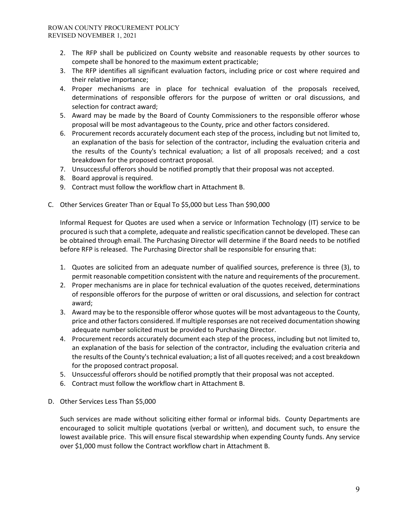- 2. The RFP shall be publicized on County website and reasonable requests by other sources to compete shall be honored to the maximum extent practicable;
- 3. The RFP identifies all significant evaluation factors, including price or cost where required and their relative importance;
- 4. Proper mechanisms are in place for technical evaluation of the proposals received, determinations of responsible offerors for the purpose of written or oral discussions, and selection for contract award;
- 5. Award may be made by the Board of County Commissioners to the responsible offeror whose proposal will be most advantageous to the County, price and other factors considered.
- 6. Procurement records accurately document each step of the process, including but not limited to, an explanation of the basis for selection of the contractor, including the evaluation criteria and the results of the County's technical evaluation; a list of all proposals received; and a cost breakdown for the proposed contract proposal.
- 7. Unsuccessful offerors should be notified promptly that their proposal was not accepted.
- 8. Board approval is required.
- 9. Contract must follow the workflow chart in Attachment B.
- C. Other Services Greater Than or Equal To \$5,000 but Less Than \$90,000

Informal Request for Quotes are used when a service or Information Technology (IT) service to be procured is such that a complete, adequate and realistic specification cannot be developed. These can be obtained through email. The Purchasing Director will determine if the Board needs to be notified before RFP is released. The Purchasing Director shall be responsible for ensuring that:

- 1. Quotes are solicited from an adequate number of qualified sources, preference is three (3), to permit reasonable competition consistent with the nature and requirements of the procurement.
- 2. Proper mechanisms are in place for technical evaluation of the quotes received, determinations of responsible offerors for the purpose of written or oral discussions, and selection for contract award;
- 3. Award may be to the responsible offeror whose quotes will be most advantageous to the County, price and other factors considered. If multiple responses are not received documentation showing adequate number solicited must be provided to Purchasing Director.
- 4. Procurement records accurately document each step of the process, including but not limited to, an explanation of the basis for selection of the contractor, including the evaluation criteria and the results of the County's technical evaluation; a list of all quotes received; and a cost breakdown for the proposed contract proposal.
- 5. Unsuccessful offerors should be notified promptly that their proposal was not accepted.
- 6. Contract must follow the workflow chart in Attachment B.
- D. Other Services Less Than \$5,000

Such services are made without soliciting either formal or informal bids. County Departments are encouraged to solicit multiple quotations (verbal or written), and document such, to ensure the lowest available price. This will ensure fiscal stewardship when expending County funds. Any service over \$1,000 must follow the Contract workflow chart in Attachment B.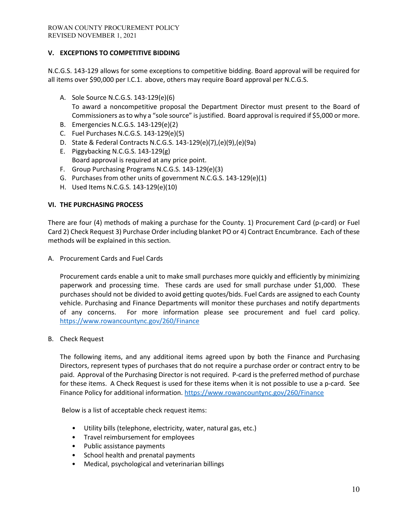# **V. EXCEPTIONS TO COMPETITIVE BIDDING**

N.C.G.S. 143-129 allows for some exceptions to competitive bidding. Board approval will be required for all items over \$90,000 per I.C.1. above, others may require Board approval per N.C.G.S.

- A. Sole Source N.C.G.S. 143-129(e)(6) To award a noncompetitive proposal the Department Director must present to the Board of Commissioners as to why a "sole source" is justified. Board approval is required if \$5,000 or more.
- B. Emergencies N.C.G.S. 143-129(e)(2)
- C. Fuel Purchases N.C.G.S. 143-129(e)(5)
- D. State & Federal Contracts N.C.G.S. 143-129(e)(7),(e)(9),(e)(9a)
- E. Piggybacking N.C.G.S. 143-129(g) Board approval is required at any price point.
- F. Group Purchasing Programs N.C.G.S. 143-129(e)(3)
- G. Purchases from other units of government N.C.G.S. 143-129(e)(1)
- H. Used Items N.C.G.S. 143-129(e)(10)

### **VI. THE PURCHASING PROCESS**

There are four (4) methods of making a purchase for the County. 1) Procurement Card (p-card) or Fuel Card 2) Check Request 3) Purchase Order including blanket PO or 4) Contract Encumbrance. Each of these methods will be explained in this section.

A. Procurement Cards and Fuel Cards

Procurement cards enable a unit to make small purchases more quickly and efficiently by minimizing paperwork and processing time. These cards are used for small purchase under \$1,000. These purchases should not be divided to avoid getting quotes/bids. Fuel Cards are assigned to each County vehicle. Purchasing and Finance Departments will monitor these purchases and notify departments of any concerns. For more information please see procurement and fuel card policy. <https://www.rowancountync.gov/260/Finance>

B. Check Request

The following items, and any additional items agreed upon by both the Finance and Purchasing Directors, represent types of purchases that do not require a purchase order or contract entry to be paid. Approval of the Purchasing Director is not required. P-card is the preferred method of purchase for these items. A Check Request is used for these items when it is not possible to use a p-card. See Finance Policy for additional information.<https://www.rowancountync.gov/260/Finance>

Below is a list of acceptable check request items:

- Utility bills (telephone, electricity, water, natural gas, etc.)
- Travel reimbursement for employees
- Public assistance payments
- School health and prenatal payments
- Medical, psychological and veterinarian billings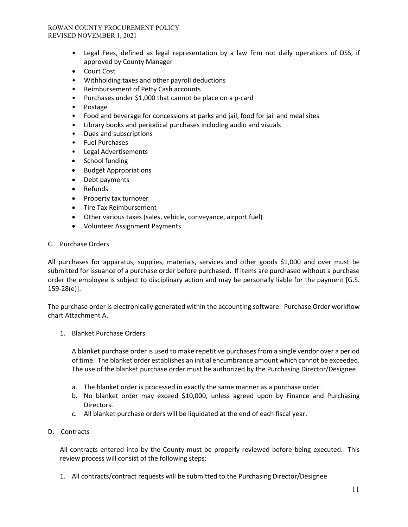- Legal Fees, defined as legal representation by a law firm not daily operations of DSS, if approved by County Manager
- Court Cost
- Withholding taxes and other payroll deductions
- Reimbursement of Petty Cash accounts
- Purchases under \$1,000 that cannot be place on a p-card
- Postage
- Food and beverage for concessions at parks and jail, food for jail and meal sites
- Library books and periodical purchases including audio and visuals
- Dues and subscriptions
- Fuel Purchases
- Legal Advertisements
- School funding
- Budget Appropriations
- Debt payments
- Refunds
- Property tax turnover
- Tire Tax Reimbursement
- Other various taxes (sales, vehicle, conveyance, airport fuel)
- Volunteer Assignment Payments

#### C. Purchase Orders

All purchases for apparatus, supplies, materials, services and other goods \$1,000 and over must be submitted for issuance of a purchase order before purchased. If items are purchased without a purchase order the employee is subject to disciplinary action and may be personally liable for the payment [G.S. 159-28(e)].

The purchase order is electronically generated within the accounting software. Purchase Order workflow chart Attachment A.

1. Blanket Purchase Orders

A blanket purchase order is used to make repetitive purchases from a single vendor over a period of time. The blanket order establishes an initial encumbrance amount which cannot be exceeded. The use of the blanket purchase order must be authorized by the Purchasing Director/Designee.

- a. The blanket order is processed in exactly the same manner as a purchase order.
- b. No blanket order may exceed \$10,000, unless agreed upon by Finance and Purchasing Directors.
- c. All blanket purchase orders will be liquidated at the end of each fiscal year.

### D. Contracts

All contracts entered into by the County must be properly reviewed before being executed. This review process will consist of the following steps:

1. All contracts/contract requests will be submitted to the Purchasing Director/Designee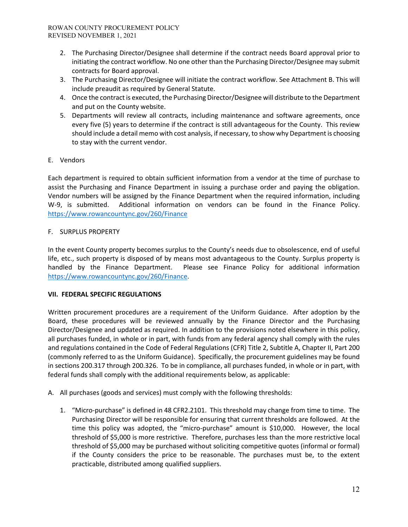- 2. The Purchasing Director/Designee shall determine if the contract needs Board approval prior to initiating the contract workflow. No one other than the Purchasing Director/Designee may submit contracts for Board approval.
- 3. The Purchasing Director/Designee will initiate the contract workflow. See Attachment B. This will include preaudit as required by General Statute.
- 4. Once the contract is executed, the Purchasing Director/Designee will distribute to the Department and put on the County website.
- 5. Departments will review all contracts, including maintenance and software agreements, once every five (5) years to determine if the contract is still advantageous for the County. This review should include a detail memo with cost analysis, if necessary, to show why Department is choosing to stay with the current vendor.
- E. Vendors

Each department is required to obtain sufficient information from a vendor at the time of purchase to assist the Purchasing and Finance Department in issuing a purchase order and paying the obligation. Vendor numbers will be assigned by the Finance Department when the required information, including W-9, is submitted. Additional information on vendors can be found in the Finance Policy. <https://www.rowancountync.gov/260/Finance>

## F. SURPLUS PROPERTY

In the event County property becomes surplus to the County's needs due to obsolescence, end of useful life, etc., such property is disposed of by means most advantageous to the County. Surplus property is handled by the Finance Department. Please see Finance Policy for additional information [https://www.rowancountync.gov/260/Finance.](https://www.rowancountync.gov/260/Finance)

# **VII. FEDERAL SPECIFIC REGULATIONS**

Written procurement procedures are a requirement of the Uniform Guidance. After adoption by the Board, these procedures will be reviewed annually by the Finance Director and the Purchasing Director/Designee and updated as required. In addition to the provisions noted elsewhere in this policy, all purchases funded, in whole or in part, with funds from any federal agency shall comply with the rules and regulations contained in the Code of Federal Regulations (CFR) Title 2, Subtitle A, Chapter II, Part 200 (commonly referred to as the Uniform Guidance). Specifically, the procurement guidelines may be found in sections 200.317 through 200.326. To be in compliance, all purchases funded, in whole or in part, with federal funds shall comply with the additional requirements below, as applicable:

- A. All purchases (goods and services) must comply with the following thresholds:
	- 1. "Micro-purchase" is defined in 48 CFR2.2101. This threshold may change from time to time. The Purchasing Director will be responsible for ensuring that current thresholds are followed. At the time this policy was adopted, the "micro-purchase" amount is \$10,000. However, the local threshold of \$5,000 is more restrictive. Therefore, purchases less than the more restrictive local threshold of \$5,000 may be purchased without soliciting competitive quotes (informal or formal) if the County considers the price to be reasonable. The purchases must be, to the extent practicable, distributed among qualified suppliers.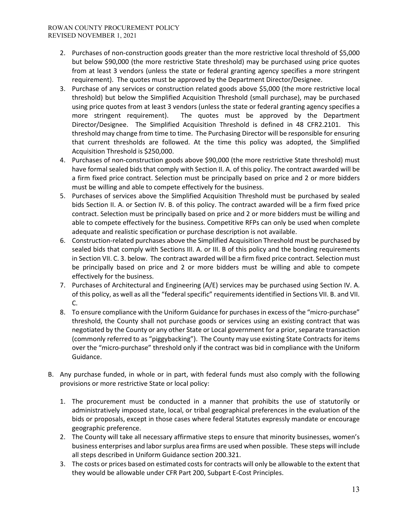- 2. Purchases of non-construction goods greater than the more restrictive local threshold of \$5,000 but below \$90,000 (the more restrictive State threshold) may be purchased using price quotes from at least 3 vendors (unless the state or federal granting agency specifies a more stringent requirement). The quotes must be approved by the Department Director/Designee.
- 3. Purchase of any services or construction related goods above \$5,000 (the more restrictive local threshold) but below the Simplified Acquisition Threshold (small purchase), may be purchased using price quotes from at least 3 vendors (unless the state or federal granting agency specifies a more stringent requirement). The quotes must be approved by the Department Director/Designee. The Simplified Acquisition Threshold is defined in 48 CFR2.2101. This threshold may change from time to time. The Purchasing Director will be responsible for ensuring that current thresholds are followed. At the time this policy was adopted, the Simplified Acquisition Threshold is \$250,000.
- 4. Purchases of non-construction goods above \$90,000 (the more restrictive State threshold) must have formal sealed bids that comply with Section II. A. of this policy. The contract awarded will be a firm fixed price contract. Selection must be principally based on price and 2 or more bidders must be willing and able to compete effectively for the business.
- 5. Purchases of services above the Simplified Acquisition Threshold must be purchased by sealed bids Section II. A. or Section IV. B. of this policy. The contract awarded will be a firm fixed price contract. Selection must be principally based on price and 2 or more bidders must be willing and able to compete effectively for the business. Competitive RFPs can only be used when complete adequate and realistic specification or purchase description is not available.
- 6. Construction-related purchases above the Simplified Acquisition Threshold must be purchased by sealed bids that comply with Sections III. A. or III. B of this policy and the bonding requirements in Section VII. C. 3. below. The contract awarded will be a firm fixed price contract. Selection must be principally based on price and 2 or more bidders must be willing and able to compete effectively for the business.
- 7. Purchases of Architectural and Engineering (A/E) services may be purchased using Section IV. A. of this policy, as well as all the "federal specific" requirements identified in Sections VII. B. and VII. C.
- 8. To ensure compliance with the Uniform Guidance for purchases in excess of the "micro-purchase" threshold, the County shall not purchase goods or services using an existing contract that was negotiated by the County or any other State or Local government for a prior, separate transaction (commonly referred to as "piggybacking"). The County may use existing State Contracts for items over the "micro-purchase" threshold only if the contract was bid in compliance with the Uniform Guidance.
- B. Any purchase funded, in whole or in part, with federal funds must also comply with the following provisions or more restrictive State or local policy:
	- 1. The procurement must be conducted in a manner that prohibits the use of statutorily or administratively imposed state, local, or tribal geographical preferences in the evaluation of the bids or proposals, except in those cases where federal Statutes expressly mandate or encourage geographic preference.
	- 2. The County will take all necessary affirmative steps to ensure that minority businesses, women's business enterprises and labor surplus area firms are used when possible. These steps will include all steps described in Uniform Guidance section 200.321.
	- 3. The costs or prices based on estimated costs for contracts will only be allowable to the extent that they would be allowable under CFR Part 200, Subpart E-Cost Principles.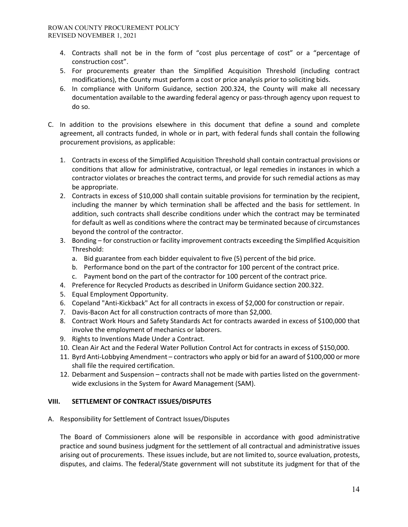- 4. Contracts shall not be in the form of "cost plus percentage of cost" or a "percentage of construction cost".
- 5. For procurements greater than the Simplified Acquisition Threshold (including contract modifications), the County must perform a cost or price analysis prior to soliciting bids.
- 6. In compliance with Uniform Guidance, section 200.324, the County will make all necessary documentation available to the awarding federal agency or pass-through agency upon request to do so.
- C. In addition to the provisions elsewhere in this document that define a sound and complete agreement, all contracts funded, in whole or in part, with federal funds shall contain the following procurement provisions, as applicable:
	- 1. Contracts in excess of the Simplified Acquisition Threshold shall contain contractual provisions or conditions that allow for administrative, contractual, or legal remedies in instances in which a contractor violates or breaches the contract terms, and provide for such remedial actions as may be appropriate.
	- 2. Contracts in excess of \$10,000 shall contain suitable provisions for termination by the recipient, including the manner by which termination shall be affected and the basis for settlement. In addition, such contracts shall describe conditions under which the contract may be terminated for default as well as conditions where the contract may be terminated because of circumstances beyond the control of the contractor.
	- 3. Bonding for construction or facility improvement contracts exceeding the Simplified Acquisition Threshold:
		- a. Bid guarantee from each bidder equivalent to five (5) percent of the bid price.
		- b. Performance bond on the part of the contractor for 100 percent of the contract price.
		- c. Payment bond on the part of the contractor for 100 percent of the contract price.
	- 4. Preference for Recycled Products as described in Uniform Guidance section 200.322.
	- 5. Equal Employment Opportunity.
	- 6. Copeland "Anti-Kickback" Act for all contracts in excess of \$2,000 for construction or repair.
	- 7. Davis-Bacon Act for all construction contracts of more than \$2,000.
	- 8. Contract Work Hours and Safety Standards Act for contracts awarded in excess of \$100,000 that involve the employment of mechanics or laborers.
	- 9. Rights to Inventions Made Under a Contract.
	- 10. Clean Air Act and the Federal Water Pollution Control Act for contracts in excess of \$150,000.
	- 11. Byrd Anti-Lobbying Amendment contractors who apply or bid for an award of \$100,000 or more shall file the required certification.
	- 12. Debarment and Suspension contracts shall not be made with parties listed on the governmentwide exclusions in the System for Award Management (SAM).

### **VIII. SETTLEMENT OF CONTRACT ISSUES/DISPUTES**

A. Responsibility for Settlement of Contract Issues/Disputes

The Board of Commissioners alone will be responsible in accordance with good administrative practice and sound business judgment for the settlement of all contractual and administrative issues arising out of procurements. These issues include, but are not limited to, source evaluation, protests, disputes, and claims. The federal/State government will not substitute its judgment for that of the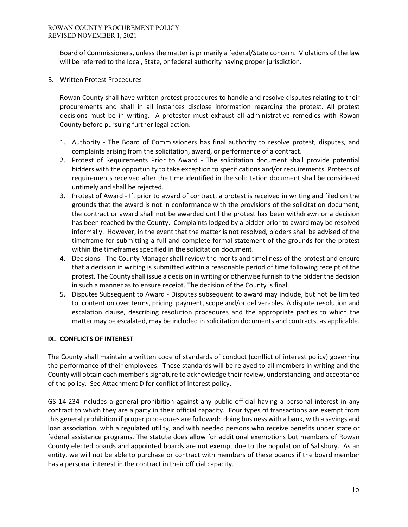Board of Commissioners, unless the matter is primarily a federal/State concern. Violations of the law will be referred to the local, State, or federal authority having proper jurisdiction.

B. Written Protest Procedures

Rowan County shall have written protest procedures to handle and resolve disputes relating to their procurements and shall in all instances disclose information regarding the protest. All protest decisions must be in writing. A protester must exhaust all administrative remedies with Rowan County before pursuing further legal action.

- 1. Authority The Board of Commissioners has final authority to resolve protest, disputes, and complaints arising from the solicitation, award, or performance of a contract.
- 2. Protest of Requirements Prior to Award The solicitation document shall provide potential bidders with the opportunity to take exception to specifications and/or requirements. Protests of requirements received after the time identified in the solicitation document shall be considered untimely and shall be rejected.
- 3. Protest of Award If, prior to award of contract, a protest is received in writing and filed on the grounds that the award is not in conformance with the provisions of the solicitation document, the contract or award shall not be awarded until the protest has been withdrawn or a decision has been reached by the County. Complaints lodged by a bidder prior to award may be resolved informally. However, in the event that the matter is not resolved, bidders shall be advised of the timeframe for submitting a full and complete formal statement of the grounds for the protest within the timeframes specified in the solicitation document.
- 4. Decisions The County Manager shall review the merits and timeliness of the protest and ensure that a decision in writing is submitted within a reasonable period of time following receipt of the protest. The County shall issue a decision in writing or otherwise furnish to the bidder the decision in such a manner as to ensure receipt. The decision of the County is final.
- 5. Disputes Subsequent to Award Disputes subsequent to award may include, but not be limited to, contention over terms, pricing, payment, scope and/or deliverables. A dispute resolution and escalation clause, describing resolution procedures and the appropriate parties to which the matter may be escalated, may be included in solicitation documents and contracts, as applicable.

# **IX. CONFLICTS OF INTEREST**

The County shall maintain a written code of standards of conduct (conflict of interest policy) governing the performance of their employees. These standards will be relayed to all members in writing and the County will obtain each member's signature to acknowledge their review, understanding, and acceptance of the policy. See Attachment D for conflict of interest policy.

GS 14-234 includes a general prohibition against any public official having a personal interest in any contract to which they are a party in their official capacity. Four types of transactions are exempt from this general prohibition if proper procedures are followed: doing business with a bank, with a savings and loan association, with a regulated utility, and with needed persons who receive benefits under state or federal assistance programs. The statute does allow for additional exemptions but members of Rowan County elected boards and appointed boards are not exempt due to the population of Salisbury. As an entity, we will not be able to purchase or contract with members of these boards if the board member has a personal interest in the contract in their official capacity.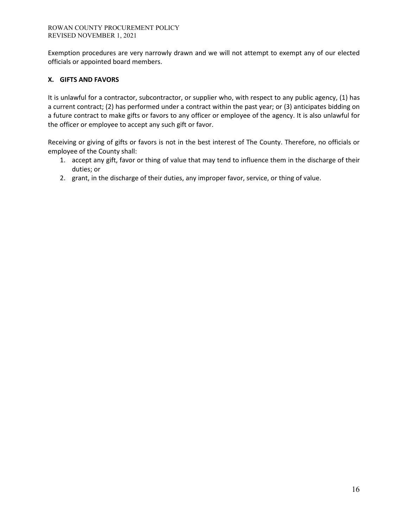Exemption procedures are very narrowly drawn and we will not attempt to exempt any of our elected officials or appointed board members.

## **X. GIFTS AND FAVORS**

It is unlawful for a contractor, subcontractor, or supplier who, with respect to any public agency, (1) has a current contract; (2) has performed under a contract within the past year; or (3) anticipates bidding on a future contract to make gifts or favors to any officer or employee of the agency. It is also unlawful for the officer or employee to accept any such gift or favor.

Receiving or giving of gifts or favors is not in the best interest of The County. Therefore, no officials or employee of the County shall:

- 1. accept any gift, favor or thing of value that may tend to influence them in the discharge of their duties; or
- 2. grant, in the discharge of their duties, any improper favor, service, or thing of value.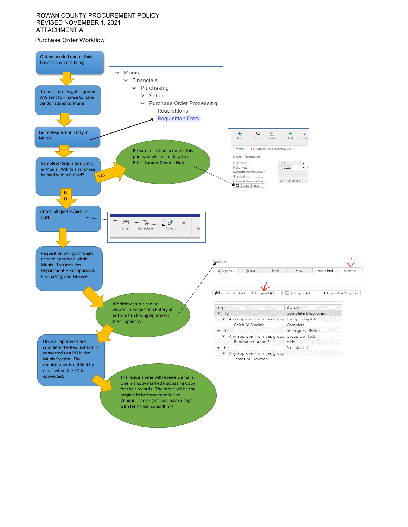#### ROWAN COUNTY PROCUREMENT POLICY REVISED NOVEMBER 1, 2021 ATTACHMENT A

#### Purchase Order Workflow

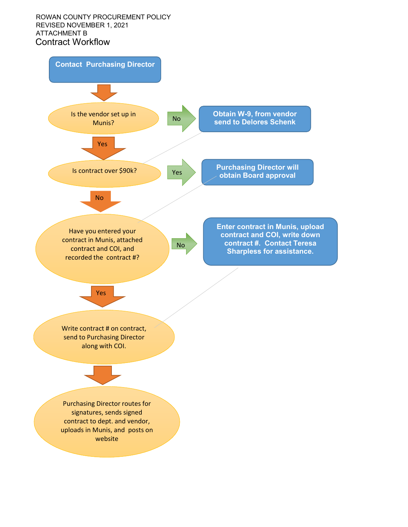### Contract Workflow ROWAN COUNTY PROCUREMENT POLICY REVISED NOVEMBER 1, 2021 ATTACHMENT B

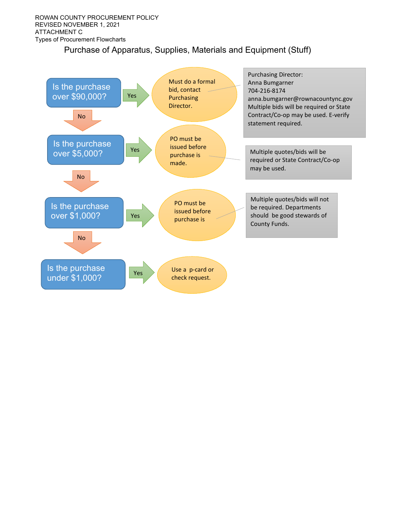# Purchase of Apparatus, Supplies, Materials and Equipment (Stuff)

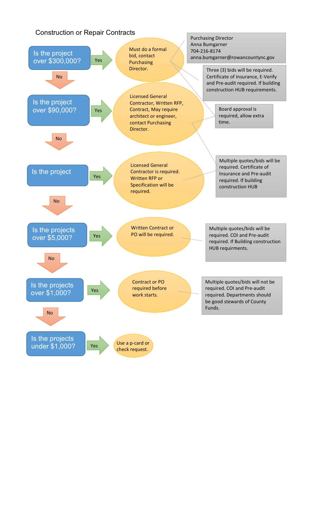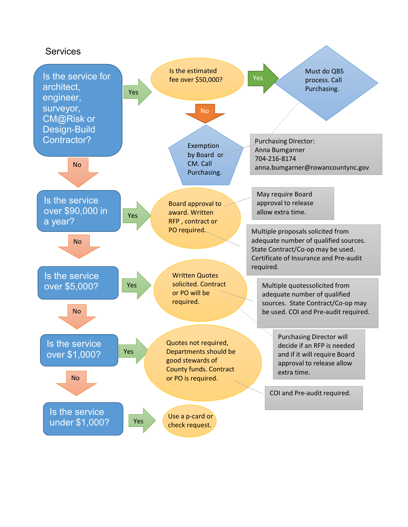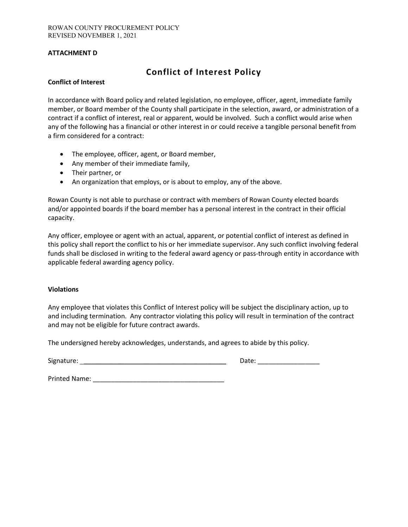### **ATTACHMENT D**

# **Conflict of Interest Policy**

#### **Conflict of Interest**

In accordance with Board policy and related legislation, no employee, officer, agent, immediate family member, or Board member of the County shall participate in the selection, award, or administration of a contract if a conflict of interest, real or apparent, would be involved. Such a conflict would arise when any of the following has a financial or other interest in or could receive a tangible personal benefit from a firm considered for a contract:

- The employee, officer, agent, or Board member,
- Any member of their immediate family,
- Their partner, or
- An organization that employs, or is about to employ, any of the above.

Rowan County is not able to purchase or contract with members of Rowan County elected boards and/or appointed boards if the board member has a personal interest in the contract in their official capacity.

Any officer, employee or agent with an actual, apparent, or potential conflict of interest as defined in this policy shall report the conflict to his or her immediate supervisor. Any such conflict involving federal funds shall be disclosed in writing to the federal award agency or pass-through entity in accordance with applicable federal awarding agency policy.

#### **Violations**

Any employee that violates this Conflict of Interest policy will be subject the disciplinary action, up to and including termination. Any contractor violating this policy will result in termination of the contract and may not be eligible for future contract awards.

The undersigned hereby acknowledges, understands, and agrees to abide by this policy.

Signature: \_\_\_\_\_\_\_\_\_\_\_\_\_\_\_\_\_\_\_\_\_\_\_\_\_\_\_\_\_\_\_\_\_\_\_\_\_\_\_ Date: \_\_\_\_\_\_\_\_\_\_\_\_\_\_\_\_\_

Printed Name: \_\_\_\_\_\_\_\_\_\_\_\_\_\_\_\_\_\_\_\_\_\_\_\_\_\_\_\_\_\_\_\_\_\_\_\_